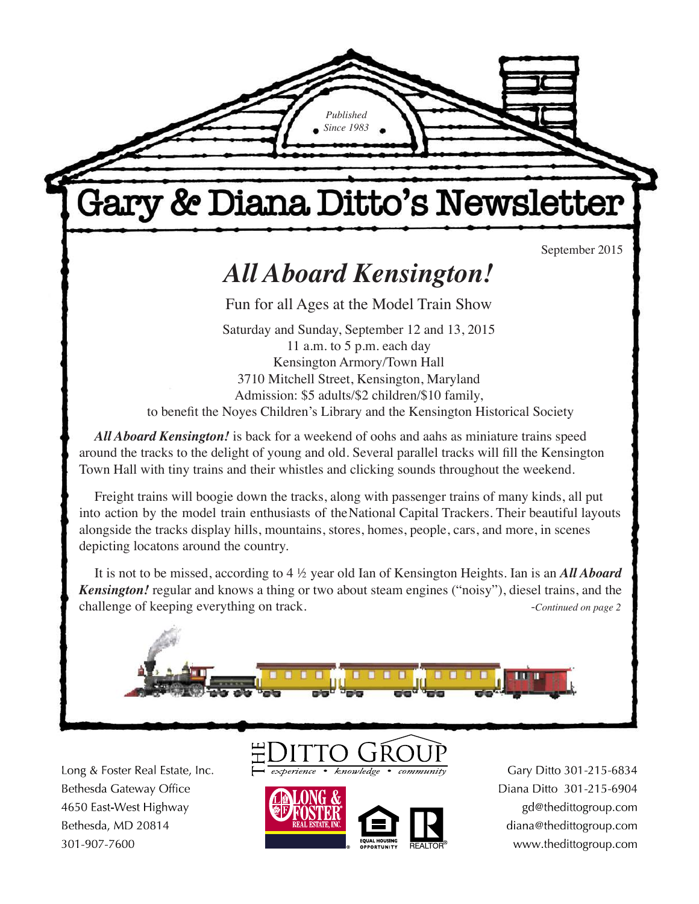

*Published Since 1983*

3710 Mitchell Street, Kensington, Maryland Admission: \$5 adults/\$2 children/\$10 family, to benefit the Noyes Children's Library and the Kensington Historical Society

*All Aboard Kensington!* is back for a weekend of oohs and aahs as miniature trains speed around the tracks to the delight of young and old. Several parallel tracks will fill the Kensington Town Hall with tiny trains and their whistles and clicking sounds throughout the weekend.

Freight trains will boogie down the tracks, along with passenger trains of many kinds, all put into action by the model train enthusiasts of the National Capital Trackers. Their beautiful layouts alongside the tracks display hills, mountains, stores, homes, people, cars, and more, in scenes depicting locatons around the country.

It is not to be missed, according to 4 ½ year old Ian of Kensington Heights. Ian is an *All Aboard Kensington!* regular and knows a thing or two about steam engines ("noisy"), diesel trains, and the challenge of keeping everything on track.  $\cdot$  *-Continued on page 2* 



Long & Foster Real Estate, Inc. Bethesda Gateway Office 4650 East-West Highway Bethesda, MD 20814 301-907-7600





Gary Ditto 301-215-6834 Diana Ditto 301-215-6904 gd@thedittogroup.com diana@thedittogroup.com www.thedittogroup.com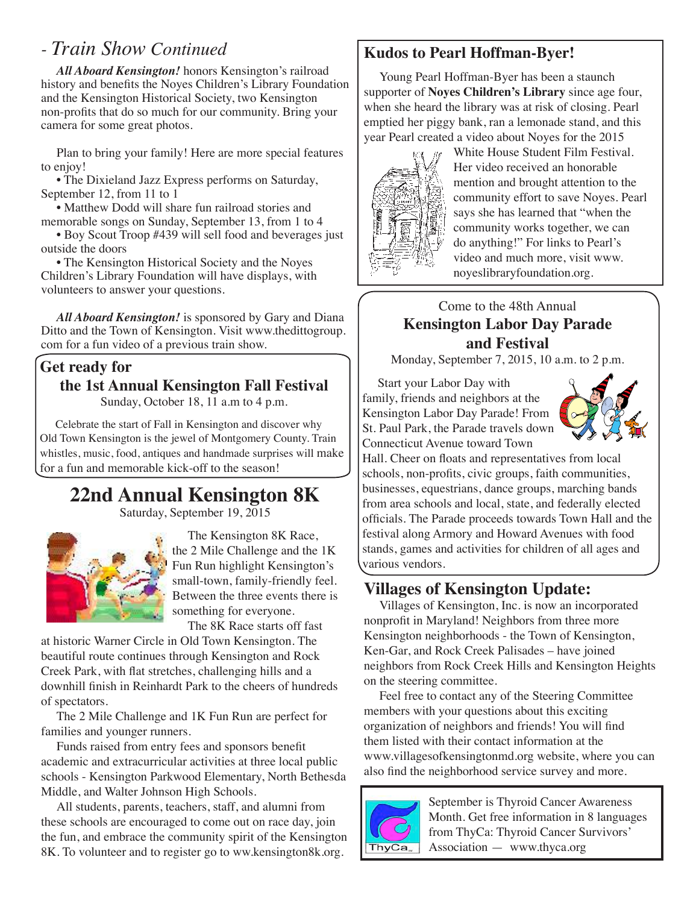# *- Train Show Continued*

*All Aboard Kensington!* honors Kensington's railroad history and benefits the Noyes Children's Library Foundation and the Kensington Historical Society, two Kensington non-profits that do so much for our community. Bring your camera for some great photos.

Plan to bring your family! Here are more special features to enjoy!

• The Dixieland Jazz Express performs on Saturday, September 12, from 11 to 1

• Matthew Dodd will share fun railroad stories and memorable songs on Sunday, September 13, from 1 to 4

• Boy Scout Troop #439 will sell food and beverages just outside the doors

• The Kensington Historical Society and the Noyes Children's Library Foundation will have displays, with volunteers to answer your questions.

*All Aboard Kensington!* is sponsored by Gary and Diana Ditto and the Town of Kensington. Visit www.thedittogroup. com for a fun video of a previous train show.

### **Get ready for**

### **the 1st Annual Kensington Fall Festival**

Sunday, October 18, 11 a.m to 4 p.m.

Celebrate the start of Fall in Kensington and discover why Old Town Kensington is the jewel of Montgomery County. Train whistles, music, food, antiques and handmade surprises will make for a fun and memorable kick-off to the season!

# **22nd Annual Kensington 8K**

Saturday, September 19, 2015



The Kensington 8K Race, the 2 Mile Challenge and the 1K Fun Run highlight Kensington's small-town, family-friendly feel. Between the three events there is something for everyone.

The 8K Race starts off fast

at historic Warner Circle in Old Town Kensington. The beautiful route continues through Kensington and Rock Creek Park, with flat stretches, challenging hills and a downhill finish in Reinhardt Park to the cheers of hundreds of spectators.

The 2 Mile Challenge and 1K Fun Run are perfect for families and younger runners.

Funds raised from entry fees and sponsors benefit academic and extracurricular activities at three local public schools - Kensington Parkwood Elementary, North Bethesda Middle, and Walter Johnson High Schools.

All students, parents, teachers, staff, and alumni from these schools are encouraged to come out on race day, join the fun, and embrace the community spirit of the Kensington 8K. To volunteer and to register go to ww.kensington8k.org.

# **Kudos to Pearl Hoffman-Byer!**

Young Pearl Hoffman-Byer has been a staunch supporter of **Noyes Children's Library** since age four, when she heard the library was at risk of closing. Pearl emptied her piggy bank, ran a lemonade stand, and this year Pearl created a video about Noyes for the 2015



White House Student Film Festival. Her video received an honorable mention and brought attention to the community effort to save Noyes. Pearl says she has learned that "when the community works together, we can do anything!" For links to Pearl's video and much more, visit www. noyeslibraryfoundation.org.

### Come to the 48th Annual **Kensington Labor Day Parade and Festival**

Monday, September 7, 2015, 10 a.m. to 2 p.m.

Start your Labor Day with family, friends and neighbors at the Kensington Labor Day Parade! From St. Paul Park, the Parade travels down Connecticut Avenue toward Town



Hall. Cheer on floats and representatives from local schools, non-profits, civic groups, faith communities, businesses, equestrians, dance groups, marching bands from area schools and local, state, and federally elected officials. The Parade proceeds towards Town Hall and the festival along Armory and Howard Avenues with food stands, games and activities for children of all ages and various vendors.

# **Villages of Kensington Update:**

Villages of Kensington, Inc. is now an incorporated nonprofit in Maryland! Neighbors from three more Kensington neighborhoods - the Town of Kensington, Ken-Gar, and Rock Creek Palisades – have joined neighbors from Rock Creek Hills and Kensington Heights on the steering committee.

Feel free to contact any of the Steering Committee members with your questions about this exciting organization of neighbors and friends! You will find them listed with their contact information at the www.villagesofkensingtonmd.org website, where you can also find the neighborhood service survey and more.



September is Thyroid Cancer Awareness Month. Get free information in 8 languages from ThyCa: Thyroid Cancer Survivors' Association — www.thyca.org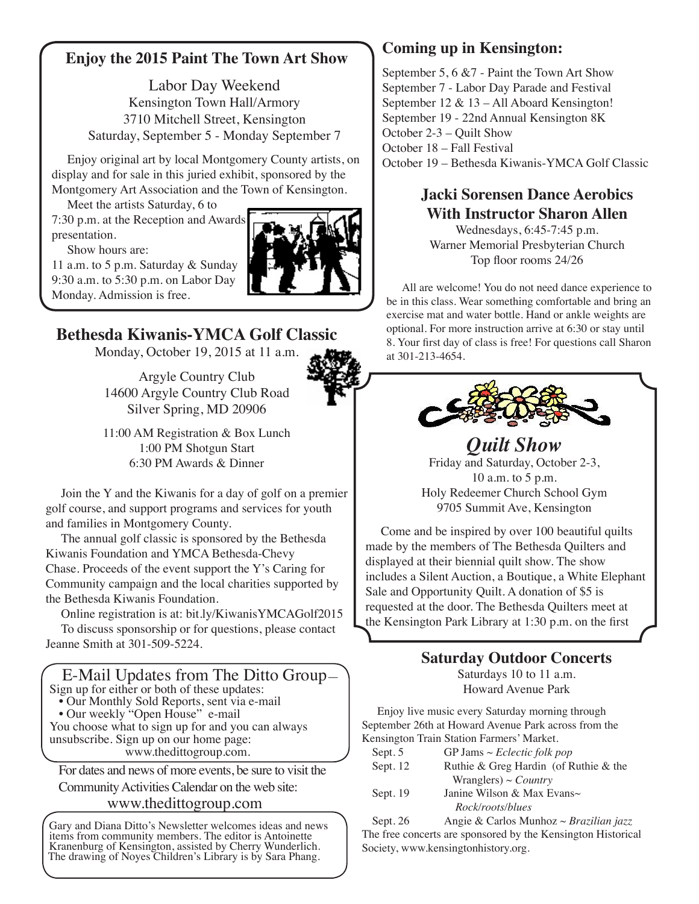### **Enjoy the 2015 Paint The Town Art Show**

Labor Day Weekend Kensington Town Hall/Armory 3710 Mitchell Street, Kensington Saturday, September 5 - Monday September 7

Enjoy original art by local Montgomery County artists, on display and for sale in this juried exhibit, sponsored by the Montgomery Art Association and the Town of Kensington.

Meet the artists Saturday, 6 to 7:30 p.m. at the Reception and Awards presentation.

Show hours are:

11 a.m. to 5 p.m. Saturday & Sunday 9:30 a.m. to 5:30 p.m. on Labor Day Monday. Admission is free.

# **Bethesda Kiwanis-YMCA Golf Classic**

Monday, October 19, 2015 at 11 a.m.

Argyle Country Club 14600 Argyle Country Club Road Silver Spring, MD 20906

11:00 AM Registration & Box Lunch 1:00 PM Shotgun Start 6:30 PM Awards & Dinner

Join the Y and the Kiwanis for a day of golf on a premier golf course, and support programs and services for youth and families in Montgomery County.

The annual golf classic is sponsored by the Bethesda Kiwanis Foundation and YMCA Bethesda-Chevy Chase. Proceeds of the event support the Y's Caring for Community campaign and the local charities supported by the Bethesda Kiwanis Foundation.

Online registration is at: bit.ly/KiwanisYMCAGolf2015 To discuss sponsorship or for questions, please contact Jeanne Smith at 301-509-5224.

### E-Mail Updates from The Ditto Group— Sign up for either or both of these updates:

- Our Monthly Sold Reports, sent via e-mail
- Our weekly "Open House" e-mail

You choose what to sign up for and you can always unsubscribe. Sign up on our home page:

www.thedittogroup.com.

For dates and news of more events, be sure to visit the

Community Activities Calendar on the web site:

### www.thedittogroup.com

Gary and Diana Ditto's Newsletter welcomes ideas and news items from community members. The editor is Antoinette Kranenburg of Kensington, assisted by Cherry Wunderlich. The drawing of Noyes Children's Library is by Sara Phang.

## **Coming up in Kensington:**

September 5, 6 &7 - Paint the Town Art Show September 7 - Labor Day Parade and Festival September 12 & 13 – All Aboard Kensington! September 19 - 22nd Annual Kensington 8K October 2-3 – Quilt Show October 18 – Fall Festival October 19 – Bethesda Kiwanis-YMCA Golf Classic

# **Jacki Sorensen Dance Aerobics With Instructor Sharon Allen**

Wednesdays, 6:45-7:45 p.m. Warner Memorial Presbyterian Church Top floor rooms 24/26

All are welcome! You do not need dance experience to be in this class. Wear something comfortable and bring an exercise mat and water bottle. Hand or ankle weights are optional. For more instruction arrive at 6:30 or stay until 8. Your first day of class is free! For questions call Sharon at 301-213-4654.



#### *Quilt Show*  Friday and Saturday, October 2-3, 10 a.m. to 5 p.m. Holy Redeemer Church School Gym 9705 Summit Ave, Kensington

Come and be inspired by over 100 beautiful quilts made by the members of The Bethesda Quilters and displayed at their biennial quilt show. The show includes a Silent Auction, a Boutique, a White Elephant Sale and Opportunity Quilt. A donation of \$5 is requested at the door. The Bethesda Quilters meet at the Kensington Park Library at 1:30 p.m. on the first

# **Saturday Outdoor Concerts**

Saturdays 10 to 11 a.m. Howard Avenue Park

Enjoy live music every Saturday morning through September 26th at Howard Avenue Park across from the Kensington Train Station Farmers' Market.

| Sept. 5  | GP Jams $\sim$ <i>Eclectic folk pop</i> |
|----------|-----------------------------------------|
| Sept. 12 | Ruthie & Greg Hardin (of Ruthie & the   |
|          | Wranglers) ~ <i>Country</i>             |
| Sept. 19 | Janine Wilson & Max Evans~              |
|          | Rock/roots/blues                        |

Sept. 26 Angie & Carlos Munhoz ~ *Brazilian jazz*  The free concerts are sponsored by the Kensington Historical Society, www.kensingtonhistory.org.